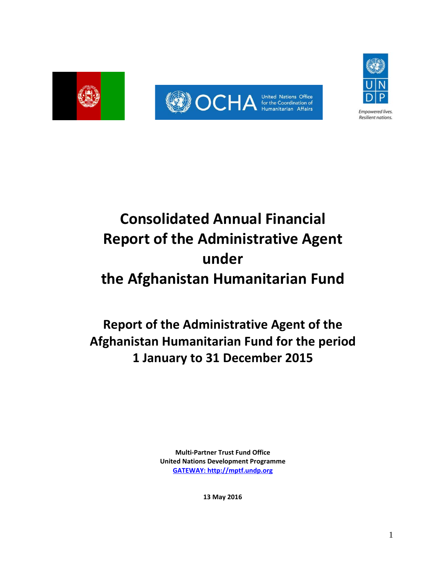



# **Consolidated Annual Financial Report of the Administrative Agent under the Afghanistan Humanitarian Fund**

## **Report of the Administrative Agent of the Afghanistan Humanitarian Fund for the period 1 January to 31 December 2015**

**Multi-Partner Trust Fund Office United Nations Development Programme [GATEWAY: http://mptf.undp.org](http://mptf.undp.org/)**

**13 May 2016**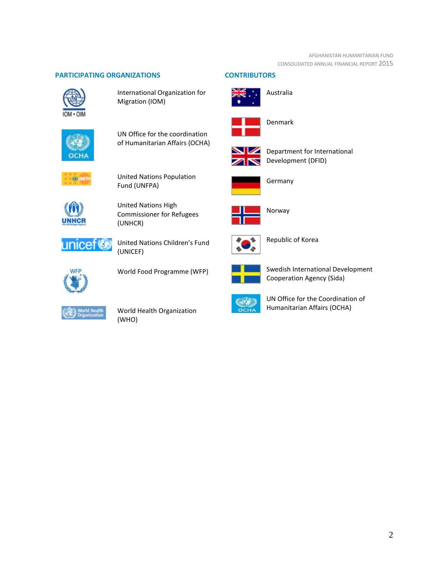#### AFGHANISTAN HUMANITARIAN FUND CONSOLIDATED ANNUAL FINANCIAL REPORT 2015

#### **PARTICIPATING ORGANIZATIONS CONTRIBUTORS**



International Organization for Migration (IOM)



UN Office for the coordination of Humanitarian Affairs (OCHA)



United Nations Population Fund (UNFPA)



United Nations High Commissioner for Refugees (UNHCR)



United Nations Children's Fund (UNICEF)



World Food Programme (WFP)



World Health Organization (WHO)





Australia



Denmark



Department for International Development (DFID)



Germany



Norway



Republic of Korea



Swedish International Development Cooperation Agency (Sida)



UN Office for the Coordination of Humanitarian Affairs (OCHA)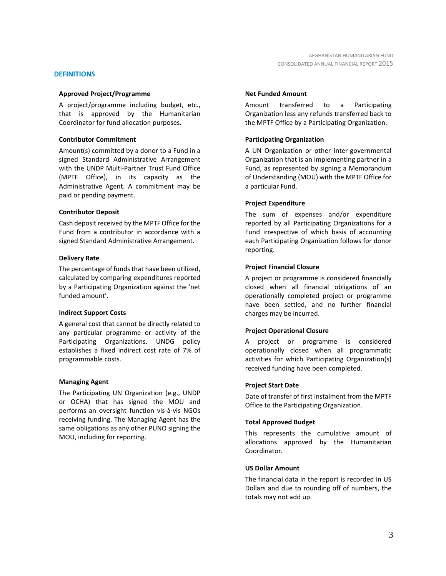#### **DEFINITIONS**

#### **Approved Project/Programme**

A project/programme including budget, etc., that is approved by the Humanitarian Coordinator for fund allocation purposes.

#### **Contributor Commitment**

Amount(s) committed by a donor to a Fund in a signed Standard Administrative Arrangement with the UNDP Multi-Partner Trust Fund Office (MPTF Office), in its capacity as the Administrative Agent. A commitment may be paid or pending payment.

#### **Contributor Deposit**

Cash deposit received by the MPTF Office for the Fund from a contributor in accordance with a signed Standard Administrative Arrangement.

#### **Delivery Rate**

The percentage of funds that have been utilized, calculated by comparing expenditures reported by a Participating Organization against the 'net funded amount'.

#### **Indirect Support Costs**

A general cost that cannot be directly related to any particular programme or activity of the Participating Organizations. UNDG policy establishes a fixed indirect cost rate of 7% of programmable costs.

#### **Managing Agent**

The Participating UN Organization (e.g., UNDP or OCHA) that has signed the MOU and performs an oversight function vis-à-vis NGOs receiving funding. The Managing Agent has the same obligations as any other PUNO signing the MOU, including for reporting.

#### **Net Funded Amount**

Amount transferred to a Participating Organization less any refunds transferred back to the MPTF Office by a Participating Organization.

#### **Participating Organization**

A UN Organization or other inter-governmental Organization that is an implementing partner in a Fund, as represented by signing a Memorandum of Understanding (MOU) with the MPTF Office for a particular Fund.

#### **Project Expenditure**

The sum of expenses and/or expenditure reported by all Participating Organizations for a Fund irrespective of which basis of accounting each Participating Organization follows for donor reporting.

#### **Project Financial Closure**

A project or programme is considered financially closed when all financial obligations of an operationally completed project or programme have been settled, and no further financial charges may be incurred.

#### **Project Operational Closure**

A project or programme is considered operationally closed when all programmatic activities for which Participating Organization(s) received funding have been completed.

#### **Project Start Date**

Date of transfer of first instalment from the MPTF Office to the Participating Organization.

#### **Total Approved Budget**

This represents the cumulative amount of allocations approved by the Humanitarian Coordinator.

#### **US Dollar Amount**

The financial data in the report is recorded in US Dollars and due to rounding off of numbers, the totals may not add up.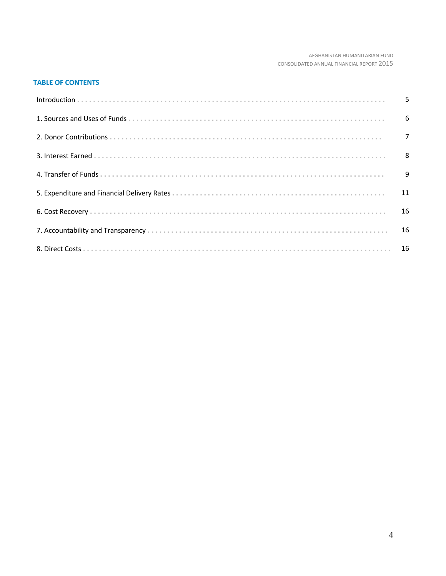#### AFGHANISTAN HUMANITARIAN FUND CONSOLIDATED ANNUAL FINANCIAL REPORT 2015

#### **TABLE OF CONTENTS**

| $\overline{7}$ |
|----------------|
|                |
|                |
|                |
|                |
|                |
|                |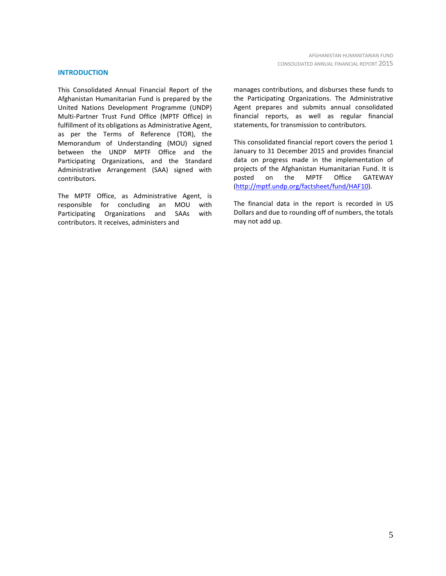#### **INTRODUCTION**

This Consolidated Annual Financial Report of the Afghanistan Humanitarian Fund is prepared by the United Nations Development Programme (UNDP) Multi-Partner Trust Fund Office (MPTF Office) in fulfillment of its obligations as Administrative Agent, as per the Terms of Reference (TOR), the Memorandum of Understanding (MOU) signed between the UNDP MPTF Office and the Participating Organizations, and the Standard Administrative Arrangement (SAA) signed with contributors.

The MPTF Office, as Administrative Agent, is responsible for concluding an MOU with Participating Organizations and SAAs with contributors. It receives, administers and

manages contributions, and disburses these funds to the Participating Organizations. The Administrative Agent prepares and submits annual consolidated financial reports, as well as regular financial statements, for transmission to contributors.

This consolidated financial report covers the period 1 January to 31 December 2015 and provides financial data on progress made in the implementation of projects of the Afghanistan Humanitarian Fund. It is posted on the MPTF Office GATEWAY [\(http://mptf.undp.org/factsheet/fund/HAF10\)](http://mptf.undp.org/factsheet/fund/HAF10).

The financial data in the report is recorded in US Dollars and due to rounding off of numbers, the totals may not add up.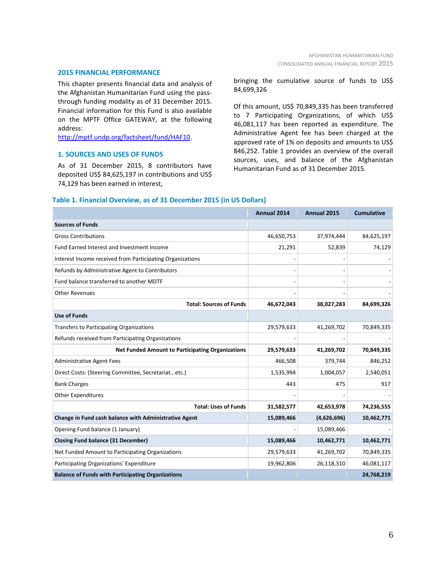#### **2015 FINANCIAL PERFORMANCE**

This chapter presents financial data and analysis of the Afghanistan Humanitarian Fund using the passthrough funding modality as of 31 December 2015. Financial information for this Fund is also available on the MPTF Office GATEWAY, at the following address:

[http://mptf.undp.org/factsheet/fund/HAF10.](http://mptf.undp.org/factsheet/fund/HAF10) 

#### **1. SOURCES AND USES OF FUNDS**

As of 31 December 2015, 8 contributors have deposited US\$ 84,625,197 in contributions and US\$ 74,129 has been earned in interest,

bringing the cumulative source of funds to US\$ 84,699,326

Of this amount, US\$ 70,849,335 has been transferred to 7 Participating Organizations, of which US\$ 46,081,117 has been reported as expenditure. The Administrative Agent fee has been charged at the approved rate of 1% on deposits and amounts to US\$ 846,252. Table 1 provides an overview of the overall sources, uses, and balance of the Afghanistan Humanitarian Fund as of 31 December 2015.

#### **Table 1. Financial Overview, as of 31 December 2015 (in US Dollars)**

|                                                           | Annual 2014 | Annual 2015 | <b>Cumulative</b> |
|-----------------------------------------------------------|-------------|-------------|-------------------|
| <b>Sources of Funds</b>                                   |             |             |                   |
| <b>Gross Contributions</b>                                | 46,650,753  | 37,974,444  | 84,625,197        |
| <b>Fund Earned Interest and Investment Income</b>         | 21,291      | 52,839      | 74,129            |
| Interest Income received from Participating Organizations |             |             |                   |
| Refunds by Administrative Agent to Contributors           |             |             |                   |
| Fund balance transferred to another MDTF                  |             |             |                   |
| <b>Other Revenues</b>                                     |             |             |                   |
| <b>Total: Sources of Funds</b>                            | 46,672,043  | 38,027,283  | 84,699,326        |
| <b>Use of Funds</b>                                       |             |             |                   |
| Transfers to Participating Organizations                  | 29,579,633  | 41,269,702  | 70,849,335        |
| Refunds received from Participating Organizations         |             |             |                   |
| <b>Net Funded Amount to Participating Organizations</b>   | 29,579,633  | 41,269,702  | 70,849,335        |
| <b>Administrative Agent Fees</b>                          | 466,508     | 379,744     | 846,252           |
| Direct Costs: (Steering Committee, Secretariatetc.)       | 1,535,994   | 1,004,057   | 2,540,051         |
| <b>Bank Charges</b>                                       | 443         | 475         | 917               |
| <b>Other Expenditures</b>                                 |             |             |                   |
| <b>Total: Uses of Funds</b>                               | 31,582,577  | 42,653,978  | 74,236,555        |
| Change in Fund cash balance with Administrative Agent     | 15,089,466  | (4,626,696) | 10,462,771        |
| Opening Fund balance (1 January)                          |             | 15,089,466  |                   |
| <b>Closing Fund balance (31 December)</b>                 | 15,089,466  | 10,462,771  | 10,462,771        |
| Net Funded Amount to Participating Organizations          | 29,579,633  | 41,269,702  | 70,849,335        |
| Participating Organizations' Expenditure                  | 19,962,806  | 26,118,310  | 46,081,117        |
| <b>Balance of Funds with Participating Organizations</b>  |             |             | 24,768,219        |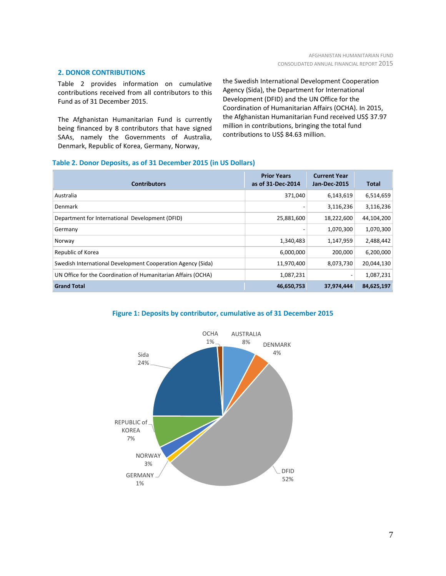#### **2. DONOR CONTRIBUTIONS**

Table 2 provides information on cumulative contributions received from all contributors to this Fund as of 31 December 2015.

The Afghanistan Humanitarian Fund is currently being financed by 8 contributors that have signed SAAs, namely the Governments of Australia, Denmark, Republic of Korea, Germany, Norway,

the Swedish International Development Cooperation Agency (Sida), the Department for International Development (DFID) and the UN Office for the Coordination of Humanitarian Affairs (OCHA). In 2015, the Afghanistan Humanitarian Fund received US\$ 37.97 million in contributions, bringing the total fund contributions to US\$ 84.63 million.

#### **Table 2. Donor Deposits, as of 31 December 2015 (in US Dollars)**

| <b>Contributors</b>                                           | <b>Prior Years</b><br>as of 31-Dec-2014 | <b>Current Year</b><br><b>Jan-Dec-2015</b> | <b>Total</b> |
|---------------------------------------------------------------|-----------------------------------------|--------------------------------------------|--------------|
| Australia                                                     | 371.040                                 | 6,143,619                                  | 6,514,659    |
| Denmark                                                       |                                         | 3,116,236                                  | 3,116,236    |
| Department for International Development (DFID)               | 25,881,600                              | 18,222,600                                 | 44,104,200   |
| Germany                                                       |                                         | 1,070,300                                  | 1,070,300    |
| Norway                                                        | 1,340,483                               | 1,147,959                                  | 2,488,442    |
| Republic of Korea                                             | 6,000,000                               | 200,000                                    | 6,200,000    |
| Swedish International Development Cooperation Agency (Sida)   | 11,970,400                              | 8,073,730                                  | 20,044,130   |
| UN Office for the Coordination of Humanitarian Affairs (OCHA) | 1,087,231                               |                                            | 1,087,231    |
| <b>Grand Total</b>                                            | 46,650,753                              | 37,974,444                                 | 84,625,197   |

#### **Figure 1: Deposits by contributor, cumulative as of 31 December 2015**

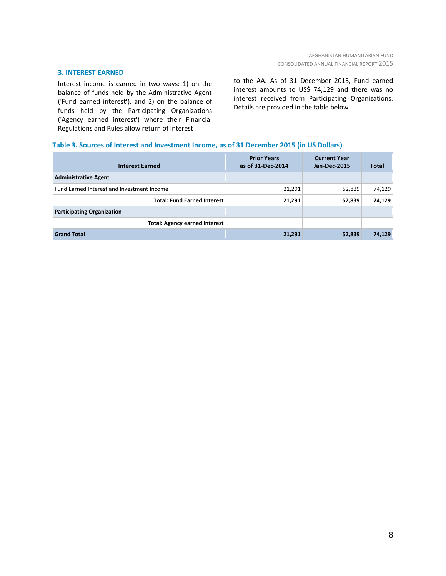#### **3. INTEREST EARNED**

Interest income is earned in two ways: 1) on the balance of funds held by the Administrative Agent ('Fund earned interest'), and 2) on the balance of funds held by the Participating Organizations ('Agency earned interest') where their Financial Regulations and Rules allow return of interest

to the AA. As of 31 December 2015, Fund earned interest amounts to US\$ 74,129 and there was no interest received from Participating Organizations. Details are provided in the table below.

#### **Table 3. Sources of Interest and Investment Income, as of 31 December 2015 (in US Dollars)**

| <b>Interest Earned</b>                     | <b>Prior Years</b><br>as of 31-Dec-2014 | <b>Current Year</b><br><b>Jan-Dec-2015</b> | <b>Total</b> |
|--------------------------------------------|-----------------------------------------|--------------------------------------------|--------------|
| <b>Administrative Agent</b>                |                                         |                                            |              |
| Fund Earned Interest and Investment Income | 21,291                                  | 52,839                                     | 74,129       |
| <b>Total: Fund Earned Interest</b>         | 21,291                                  | 52,839                                     | 74,129       |
| <b>Participating Organization</b>          |                                         |                                            |              |
| <b>Total: Agency earned interest</b>       |                                         |                                            |              |
| <b>Grand Total</b>                         | 21,291                                  | 52,839                                     | 74,129       |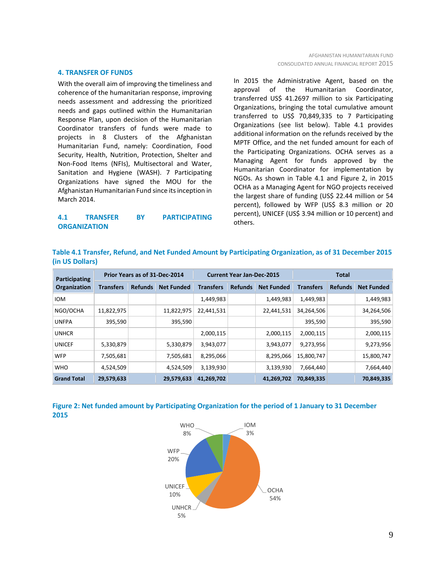#### **4. TRANSFER OF FUNDS**

With the overall aim of improving the timeliness and coherence of the humanitarian response, improving needs assessment and addressing the prioritized needs and gaps outlined within the Humanitarian Response Plan, upon decision of the Humanitarian Coordinator transfers of funds were made to projects in 8 Clusters of the Afghanistan Humanitarian Fund, namely: Coordination, Food Security, Health, Nutrition, Protection, Shelter and Non-Food Items (NFIs), Multisectoral and Water, Sanitation and Hygiene (WASH). 7 Participating Organizations have signed the MOU for the Afghanistan Humanitarian Fund since its inception in March 2014.

#### **4.1 TRANSFER BY PARTICIPATING ORGANIZATION**

In 2015 the Administrative Agent, based on the approval of the Humanitarian Coordinator, transferred US\$ 41.2697 million to six Participating Organizations, bringing the total cumulative amount transferred to US\$ 70,849,335 to 7 Participating Organizations (see list below). Table 4.1 provides additional information on the refunds received by the MPTF Office, and the net funded amount for each of the Participating Organizations. OCHA serves as a Managing Agent for funds approved by the Humanitarian Coordinator for implementation by NGOs. As shown in Table 4.1 and Figure 2, in 2015 OCHA as a Managing Agent for NGO projects received the largest share of funding (US\$ 22.44 million or 54 percent), followed by WFP (US\$ 8.3 million or 20 percent), UNICEF (US\$ 3.94 million or 10 percent) and others.

| Table 4.1 Transfer, Refund, and Net Funded Amount by Participating Organization, as of 31 December 2015 |  |  |  |  |
|---------------------------------------------------------------------------------------------------------|--|--|--|--|
| (in US Dollars)                                                                                         |  |  |  |  |

| Participating      | Prior Years as of 31-Dec-2014 |                |                   | <b>Current Year Jan-Dec-2015</b> |                |                   | <b>Total</b>     |                |                   |
|--------------------|-------------------------------|----------------|-------------------|----------------------------------|----------------|-------------------|------------------|----------------|-------------------|
| Organization       | <b>Transfers</b>              | <b>Refunds</b> | <b>Net Funded</b> | <b>Transfers</b>                 | <b>Refunds</b> | <b>Net Funded</b> | <b>Transfers</b> | <b>Refunds</b> | <b>Net Funded</b> |
| <b>IOM</b>         |                               |                |                   | 1,449,983                        |                | 1,449,983         | 1,449,983        |                | 1,449,983         |
| NGO/OCHA           | 11,822,975                    |                | 11,822,975        | 22,441,531                       |                | 22,441,531        | 34,264,506       |                | 34,264,506        |
| <b>UNFPA</b>       | 395,590                       |                | 395,590           |                                  |                |                   | 395,590          |                | 395,590           |
| <b>UNHCR</b>       |                               |                |                   | 2,000,115                        |                | 2,000,115         | 2,000,115        |                | 2,000,115         |
| <b>UNICEF</b>      | 5,330,879                     |                | 5,330,879         | 3,943,077                        |                | 3,943,077         | 9,273,956        |                | 9,273,956         |
| <b>WFP</b>         | 7,505,681                     |                | 7,505,681         | 8,295,066                        |                | 8,295,066         | 15,800,747       |                | 15,800,747        |
| <b>WHO</b>         | 4,524,509                     |                | 4,524,509         | 3,139,930                        |                | 3,139,930         | 7,664,440        |                | 7,664,440         |
| <b>Grand Total</b> | 29,579,633                    |                | 29,579,633        | 41,269,702                       |                | 41,269,702        | 70,849,335       |                | 70,849,335        |



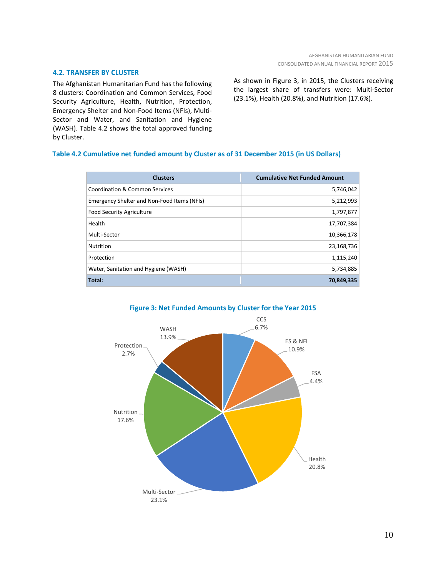#### **4.2. TRANSFER BY CLUSTER**

The Afghanistan Humanitarian Fund has the following 8 clusters: Coordination and Common Services, Food Security Agriculture, Health, Nutrition, Protection, Emergency Shelter and Non-Food Items (NFIs), Multi-Sector and Water, and Sanitation and Hygiene (WASH). Table 4.2 shows the total approved funding by Cluster.

#### As shown in Figure 3, in 2015, the Clusters receiving the largest share of transfers were: Multi-Sector (23.1%), Health (20.8%), and Nutrition (17.6%).

#### **Table 4.2 Cumulative net funded amount by Cluster as of 31 December 2015 (in US Dollars)**

| <b>Clusters</b>                             | <b>Cumulative Net Funded Amount</b> |
|---------------------------------------------|-------------------------------------|
| Coordination & Common Services              | 5,746,042                           |
| Emergency Shelter and Non-Food Items (NFIs) | 5,212,993                           |
| <b>Food Security Agriculture</b>            | 1,797,877                           |
| Health                                      | 17,707,384                          |
| Multi-Sector                                | 10,366,178                          |
| <b>Nutrition</b>                            | 23,168,736                          |
| Protection                                  | 1,115,240                           |
| Water, Sanitation and Hygiene (WASH)        | 5,734,885                           |
| Total:                                      | 70,849,335                          |



### **Figure 3: Net Funded Amounts by Cluster for the Year 2015**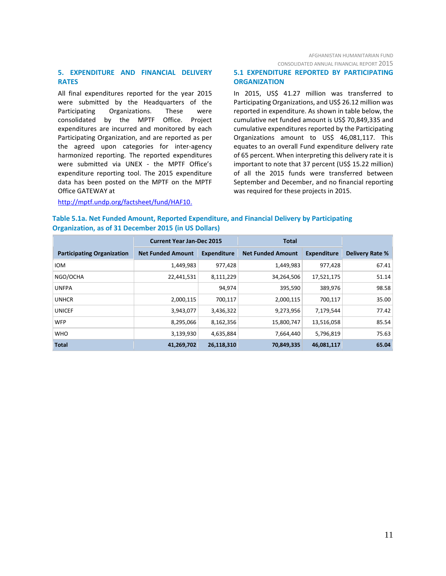#### **5. EXPENDITURE AND FINANCIAL DELIVERY RATES**

All final expenditures reported for the year 2015 were submitted by the Headquarters of the Participating Organizations. These were consolidated by the MPTF Office. Project expenditures are incurred and monitored by each Participating Organization, and are reported as per the agreed upon categories for inter-agency harmonized reporting. The reported expenditures were submitted via UNEX - the MPTF Office's expenditure reporting tool. The 2015 expenditure data has been posted on the MPTF on the MPTF Office GATEWAY at

#### **5.1 EXPENDITURE REPORTED BY PARTICIPATING ORGANIZATION**

In 2015, US\$ 41.27 million was transferred to Participating Organizations, and US\$ 26.12 million was reported in expenditure. As shown in table below, the cumulative net funded amount is US\$ 70,849,335 and cumulative expenditures reported by the Participating Organizations amount to US\$ 46,081,117. This equates to an overall Fund expenditure delivery rate of 65 percent. When interpreting this delivery rate it is important to note that 37 percent (US\$ 15.22 million) of all the 2015 funds were transferred between September and December, and no financial reporting was required for these projects in 2015.

#### [http://mptf.undp.org/factsheet/fund/HAF10.](http://mptf.undp.org/factsheet/fund/HAF10)

| Table 5.1a. Net Funded Amount, Reported Expenditure, and Financial Delivery by Participating |  |
|----------------------------------------------------------------------------------------------|--|
| <b>Organization, as of 31 December 2015 (in US Dollars)</b>                                  |  |
|                                                                                              |  |

|                                   | <b>Current Year Jan-Dec 2015</b> |                    | <b>Total</b>             |                    |                        |
|-----------------------------------|----------------------------------|--------------------|--------------------------|--------------------|------------------------|
| <b>Participating Organization</b> | <b>Net Funded Amount</b>         | <b>Expenditure</b> | <b>Net Funded Amount</b> | <b>Expenditure</b> | <b>Delivery Rate %</b> |
| <b>IOM</b>                        | 1,449,983                        | 977,428            | 1,449,983                | 977,428            | 67.41                  |
| NGO/OCHA                          | 22,441,531                       | 8,111,229          | 34,264,506               | 17,521,175         | 51.14                  |
| <b>UNFPA</b>                      |                                  | 94,974             | 395,590                  | 389,976            | 98.58                  |
| <b>UNHCR</b>                      | 2,000,115                        | 700,117            | 2,000,115                | 700,117            | 35.00                  |
| <b>UNICEF</b>                     | 3,943,077                        | 3,436,322          | 9,273,956                | 7,179,544          | 77.42                  |
| <b>WFP</b>                        | 8,295,066                        | 8,162,356          | 15,800,747               | 13,516,058         | 85.54                  |
| <b>WHO</b>                        | 3,139,930                        | 4,635,884          | 7,664,440                | 5,796,819          | 75.63                  |
| <b>Total</b>                      | 41,269,702                       | 26,118,310         | 70,849,335               | 46,081,117         | 65.04                  |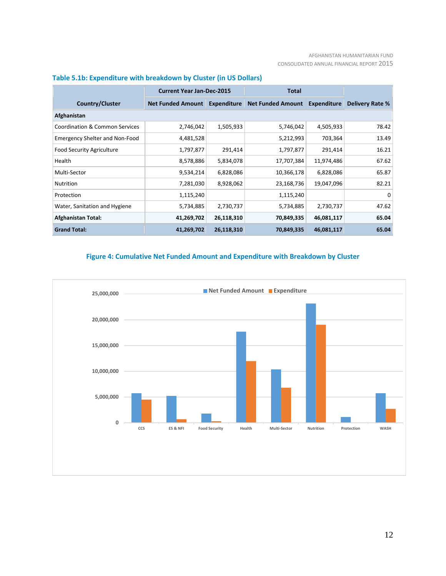#### AFGHANISTAN HUMANITARIAN FUND CONSOLIDATED ANNUAL FINANCIAL REPORT 2015

|                                           | <b>Current Year Jan-Dec-2015</b><br>Total |                    |                          |             |                        |  |  |  |
|-------------------------------------------|-------------------------------------------|--------------------|--------------------------|-------------|------------------------|--|--|--|
| <b>Country/Cluster</b>                    | <b>Net Funded Amount</b>                  | <b>Expenditure</b> | <b>Net Funded Amount</b> | Expenditure | <b>Delivery Rate %</b> |  |  |  |
| Afghanistan                               |                                           |                    |                          |             |                        |  |  |  |
| <b>Coordination &amp; Common Services</b> | 2,746,042                                 | 1,505,933          | 5,746,042                | 4,505,933   | 78.42                  |  |  |  |
| <b>Emergency Shelter and Non-Food</b>     | 4,481,528                                 |                    | 5,212,993                | 703,364     | 13.49                  |  |  |  |
| <b>Food Security Agriculture</b>          | 1,797,877                                 | 291,414            | 1,797,877                | 291,414     | 16.21                  |  |  |  |
| Health                                    | 8,578,886                                 | 5,834,078          | 17,707,384               | 11,974,486  | 67.62                  |  |  |  |
| Multi-Sector                              | 9,534,214                                 | 6,828,086          | 10,366,178               | 6,828,086   | 65.87                  |  |  |  |
| <b>Nutrition</b>                          | 7,281,030                                 | 8,928,062          | 23,168,736               | 19,047,096  | 82.21                  |  |  |  |
| Protection                                | 1,115,240                                 |                    | 1,115,240                |             | $\Omega$               |  |  |  |
| Water, Sanitation and Hygiene             | 5,734,885                                 | 2,730,737          | 5,734,885                | 2,730,737   | 47.62                  |  |  |  |
| <b>Afghanistan Total:</b>                 | 41,269,702                                | 26,118,310         | 70,849,335               | 46,081,117  | 65.04                  |  |  |  |
| <b>Grand Total:</b>                       | 41,269,702                                | 26,118,310         | 70,849,335               | 46,081,117  | 65.04                  |  |  |  |

## **Table 5.1b: Expenditure with breakdown by Cluster (in US Dollars)**

## **Figure 4: Cumulative Net Funded Amount and Expenditure with Breakdown by Cluster**

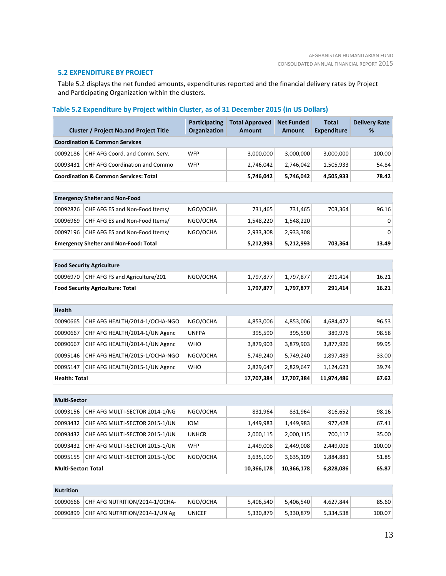#### **5.2 EXPENDITURE BY PROJECT**

Table 5.2 displays the net funded amounts, expenditures reported and the financial delivery rates by Project and Participating Organization within the clusters.

## **Table 5.2 Expenditure by Project within Cluster, as of 31 December 2015 (in US Dollars)**

|                            | <b>Cluster / Project No.and Project Title</b>    | Participating<br><b>Organization</b> | <b>Total Approved</b><br><b>Amount</b> | <b>Net Funded</b><br>Amount | <b>Total</b><br><b>Expenditure</b> | <b>Delivery Rate</b><br>% |
|----------------------------|--------------------------------------------------|--------------------------------------|----------------------------------------|-----------------------------|------------------------------------|---------------------------|
|                            | <b>Coordination &amp; Common Services</b>        |                                      |                                        |                             |                                    |                           |
| 00092186                   | CHF AFG Coord. and Comm. Serv.                   | <b>WFP</b>                           | 3,000,000                              | 3,000,000                   | 3,000,000                          | 100.00                    |
| 00093431                   | <b>CHF AFG Coordination and Commo</b>            | <b>WFP</b>                           | 2,746,042                              | 2,746,042                   | 1,505,933                          | 54.84                     |
|                            | <b>Coordination &amp; Common Services: Total</b> |                                      | 5,746,042                              | 5,746,042                   | 4,505,933                          | 78.42                     |
|                            |                                                  |                                      |                                        |                             |                                    |                           |
|                            | <b>Emergency Shelter and Non-Food</b>            |                                      |                                        |                             |                                    |                           |
| 00092826                   | CHF AFG ES and Non-Food Items/                   | NGO/OCHA                             | 731,465                                | 731,465                     | 703,364                            | 96.16                     |
| 00096969                   | CHF AFG ES and Non-Food Items/                   | NGO/OCHA                             | 1,548,220                              | 1,548,220                   |                                    | 0                         |
| 00097196                   | CHF AFG ES and Non-Food Items/                   | NGO/OCHA                             | 2,933,308                              | 2,933,308                   |                                    | 0                         |
|                            | <b>Emergency Shelter and Non-Food: Total</b>     |                                      | 5,212,993                              | 5,212,993                   | 703,364                            | 13.49                     |
|                            |                                                  |                                      |                                        |                             |                                    |                           |
|                            | <b>Food Security Agriculture</b>                 |                                      |                                        |                             |                                    |                           |
| 00096970                   | CHF AFG FS and Agriculture/201                   | NGO/OCHA                             | 1,797,877                              | 1,797,877                   | 291,414                            | 16.21                     |
|                            | <b>Food Security Agriculture: Total</b>          |                                      | 1,797,877                              | 1,797,877                   | 291,414                            | 16.21                     |
|                            |                                                  |                                      |                                        |                             |                                    |                           |
| Health                     |                                                  |                                      |                                        |                             |                                    |                           |
| 00090665                   | CHF AFG HEALTH/2014-1/OCHA-NGO                   | NGO/OCHA                             | 4,853,006                              | 4,853,006                   | 4,684,472                          | 96.53                     |
| 00090667                   | CHF AFG HEALTH/2014-1/UN Agenc                   | <b>UNFPA</b>                         | 395,590                                | 395,590                     | 389,976                            | 98.58                     |
| 00090667                   | CHF AFG HEALTH/2014-1/UN Agenc                   | <b>WHO</b>                           | 3,879,903                              | 3,879,903                   | 3,877,926                          | 99.95                     |
| 00095146                   | CHF AFG HEALTH/2015-1/OCHA-NGO                   | NGO/OCHA                             | 5,749,240                              | 5,749,240                   | 1,897,489                          | 33.00                     |
| 00095147                   | CHF AFG HEALTH/2015-1/UN Agenc                   | <b>WHO</b>                           | 2,829,647                              | 2,829,647                   | 1,124,623                          | 39.74                     |
| Health: Total              |                                                  |                                      | 17,707,384                             | 17,707,384                  | 11,974,486                         | 67.62                     |
|                            |                                                  |                                      |                                        |                             |                                    |                           |
| <b>Multi-Sector</b>        |                                                  |                                      |                                        |                             |                                    |                           |
| 00093156                   | CHF AFG MULTI-SECTOR 2014-1/NG                   | NGO/OCHA                             | 831,964                                | 831,964                     | 816,652                            | 98.16                     |
| 00093432                   | CHF AFG MULTI-SECTOR 2015-1/UN                   | <b>IOM</b>                           | 1,449,983                              | 1,449,983                   | 977,428                            | 67.41                     |
| 00093432                   | CHF AFG MULTI-SECTOR 2015-1/UN                   | <b>UNHCR</b>                         | 2,000,115                              | 2,000,115                   | 700,117                            | 35.00                     |
| 00093432                   | CHF AFG MULTI-SECTOR 2015-1/UN                   | <b>WFP</b>                           | 2,449,008                              | 2,449,008                   | 2,449,008                          | 100.00                    |
| 00095155                   | CHF AFG MULTI-SECTOR 2015-1/OC                   | NGO/OCHA                             | 3,635,109                              | 3,635,109                   | 1,884,881                          | 51.85                     |
| <b>Multi-Sector: Total</b> |                                                  |                                      | 10,366,178                             | 10,366,178                  | 6,828,086                          | 65.87                     |
|                            |                                                  |                                      |                                        |                             |                                    |                           |
| <b>Nutrition</b>           |                                                  |                                      |                                        |                             |                                    |                           |
| 00090666                   | CHF AFG NUTRITION/2014-1/OCHA-                   | NGO/OCHA                             | 5,406,540                              | 5,406,540                   | 4,627,844                          | 85.60                     |

00090899 CHF AFG NUTRITION/2014-1/UN Ag UNICEF 5,330,879 5,330,879 5,334,538 100.07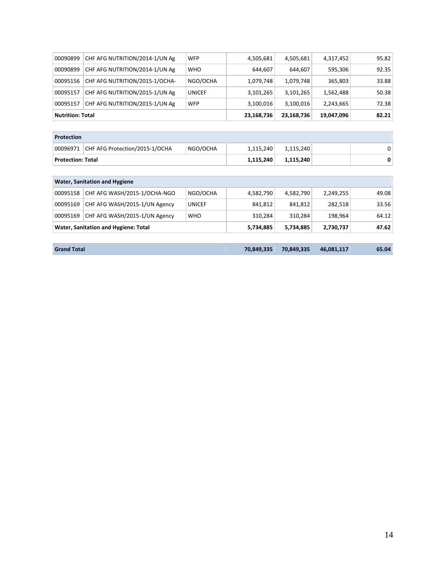| <b>Nutrition: Total</b> |                                |               | 23,168,736 | 23,168,736 | 19,047,096 | 82.21 |
|-------------------------|--------------------------------|---------------|------------|------------|------------|-------|
| 00095157                | CHF AFG NUTRITION/2015-1/UN Ag | <b>WFP</b>    | 3,100,016  | 3,100,016  | 2,243,665  | 72.38 |
| 00095157                | CHF AFG NUTRITION/2015-1/UN Ag | <b>UNICEF</b> | 3,101,265  | 3,101,265  | 1,562,488  | 50.38 |
| 00095156                | CHF AFG NUTRITION/2015-1/OCHA- | NGO/OCHA      | 1,079,748  | 1,079,748  | 365,803    | 33.88 |
| 00090899                | CHF AFG NUTRITION/2014-1/UN Ag | <b>WHO</b>    | 644,607    | 644,607    | 595,306    | 92.35 |
| 00090899                | CHF AFG NUTRITION/2014-1/UN Ag | <b>WFP</b>    | 4,505,681  | 4,505,681  | 4,317,452  | 95.82 |

| <b>Protection</b> |                                           |          |           |           |  |    |  |  |
|-------------------|-------------------------------------------|----------|-----------|-----------|--|----|--|--|
|                   | 00096971   CHF AFG Protection/2015-1/OCHA | NGO/OCHA | 1,115,240 | 1,115,240 |  | 0. |  |  |
| Protection: Total |                                           |          | 1,115,240 | 1,115,240 |  |    |  |  |

| <b>Water, Sanitation and Hygiene</b> |                               |               |            |            |            |       |  |  |
|--------------------------------------|-------------------------------|---------------|------------|------------|------------|-------|--|--|
| 00095158                             | CHF AFG WASH/2015-1/OCHA-NGO  | NGO/OCHA      | 4,582,790  | 4,582,790  | 2,249,255  | 49.08 |  |  |
| 00095169                             | CHF AFG WASH/2015-1/UN Agency | <b>UNICEF</b> | 841,812    | 841,812    | 282,518    | 33.56 |  |  |
| 00095169                             | CHF AFG WASH/2015-1/UN Agency | <b>WHO</b>    | 310,284    | 310.284    | 198.964    | 64.12 |  |  |
| Water, Sanitation and Hygiene: Total |                               |               | 5,734,885  | 5,734,885  | 2,730,737  | 47.62 |  |  |
|                                      |                               |               |            |            |            |       |  |  |
| <b>Grand Total</b>                   |                               |               | 70,849,335 | 70.849.335 | 46,081,117 | 65.04 |  |  |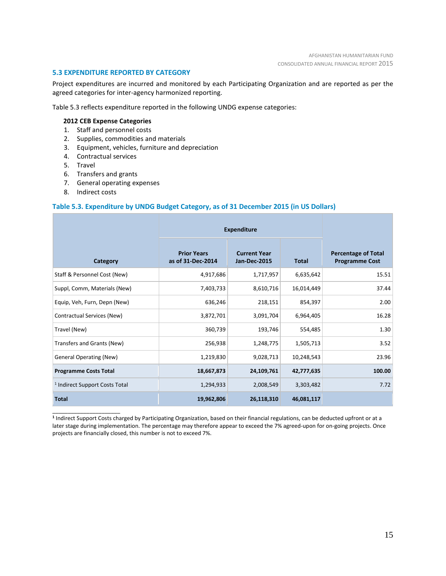#### **5.3 EXPENDITURE REPORTED BY CATEGORY**

Project expenditures are incurred and monitored by each Participating Organization and are reported as per the agreed categories for inter-agency harmonized reporting.

Table 5.3 reflects expenditure reported in the following UNDG expense categories:

#### **2012 CEB Expense Categories**

- 1. Staff and personnel costs
- 2. Supplies, commodities and materials
- 3. Equipment, vehicles, furniture and depreciation
- 4. Contractual services
- 5. Travel
- 6. Transfers and grants
- 7. General operating expenses
- 8. Indirect costs

\_\_\_\_\_\_\_\_\_\_\_\_\_\_\_\_\_\_\_\_\_\_

#### **Table 5.3. Expenditure by UNDG Budget Category, as of 31 December 2015 (in US Dollars)**

|                                           | <b>Expenditure</b>                      |                                            |              |                                                     |
|-------------------------------------------|-----------------------------------------|--------------------------------------------|--------------|-----------------------------------------------------|
| Category                                  | <b>Prior Years</b><br>as of 31-Dec-2014 | <b>Current Year</b><br><b>Jan-Dec-2015</b> | <b>Total</b> | <b>Percentage of Total</b><br><b>Programme Cost</b> |
| Staff & Personnel Cost (New)              | 4,917,686                               | 1,717,957                                  | 6,635,642    | 15.51                                               |
| Suppl, Comm, Materials (New)              | 7,403,733                               | 8,610,716                                  | 16,014,449   | 37.44                                               |
| Equip, Veh, Furn, Depn (New)              | 636,246                                 | 218,151                                    | 854,397      | 2.00                                                |
| Contractual Services (New)                | 3,872,701                               | 3,091,704                                  | 6,964,405    | 16.28                                               |
| Travel (New)                              | 360,739                                 | 193,746                                    | 554,485      | 1.30                                                |
| Transfers and Grants (New)                | 256,938                                 | 1,248,775                                  | 1,505,713    | 3.52                                                |
| <b>General Operating (New)</b>            | 1,219,830                               | 9,028,713                                  | 10,248,543   | 23.96                                               |
| <b>Programme Costs Total</b>              | 18,667,873                              | 24,109,761                                 | 42,777,635   | 100.00                                              |
| <sup>1</sup> Indirect Support Costs Total | 1,294,933                               | 2,008,549                                  | 3,303,482    | 7.72                                                |
| <b>Total</b>                              | 19,962,806                              | 26,118,310                                 | 46,081,117   |                                                     |

**<sup>1</sup>** Indirect Support Costs charged by Participating Organization, based on their financial regulations, can be deducted upfront or at a later stage during implementation. The percentage may therefore appear to exceed the 7% agreed-upon for on-going projects. Once projects are financially closed, this number is not to exceed 7%.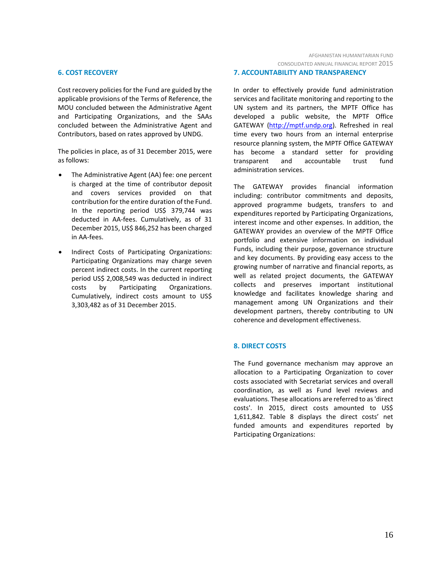#### **6. COST RECOVERY**

Cost recovery policies for the Fund are guided by the applicable provisions of the Terms of Reference, the MOU concluded between the Administrative Agent and Participating Organizations, and the SAAs concluded between the Administrative Agent and Contributors, based on rates approved by UNDG.

The policies in place, as of 31 December 2015, were as follows:

- The Administrative Agent (AA) fee: one percent is charged at the time of contributor deposit and covers services provided on that contribution for the entire duration of the Fund. In the reporting period US\$ 379,744 was deducted in AA-fees. Cumulatively, as of 31 December 2015, US\$ 846,252 has been charged in AA-fees.
- Indirect Costs of Participating Organizations: Participating Organizations may charge seven percent indirect costs. In the current reporting period US\$ 2,008,549 was deducted in indirect costs by Participating Organizations. Cumulatively, indirect costs amount to US\$ 3,303,482 as of 31 December 2015.

#### **7. ACCOUNTABILITY AND TRANSPARENCY**

In order to effectively provide fund administration services and facilitate monitoring and reporting to the UN system and its partners, the MPTF Office has developed a public website, the MPTF Office GATEWAY [\(http://mptf.undp.org\)](http://mptf.undp.org/). Refreshed in real time every two hours from an internal enterprise resource planning system, the MPTF Office GATEWAY has become a standard setter for providing transparent and accountable trust fund administration services.

The GATEWAY provides financial information including: contributor commitments and deposits, approved programme budgets, transfers to and expenditures reported by Participating Organizations, interest income and other expenses. In addition, the GATEWAY provides an overview of the MPTF Office portfolio and extensive information on individual Funds, including their purpose, governance structure and key documents. By providing easy access to the growing number of narrative and financial reports, as well as related project documents, the GATEWAY collects and preserves important institutional knowledge and facilitates knowledge sharing and management among UN Organizations and their development partners, thereby contributing to UN coherence and development effectiveness.

#### **8. DIRECT COSTS**

The Fund governance mechanism may approve an allocation to a Participating Organization to cover costs associated with Secretariat services and overall coordination, as well as Fund level reviews and evaluations. These allocations are referred to as 'direct costs'. In 2015, direct costs amounted to US\$ 1,611,842. Table 8 displays the direct costs' net funded amounts and expenditures reported by Participating Organizations: